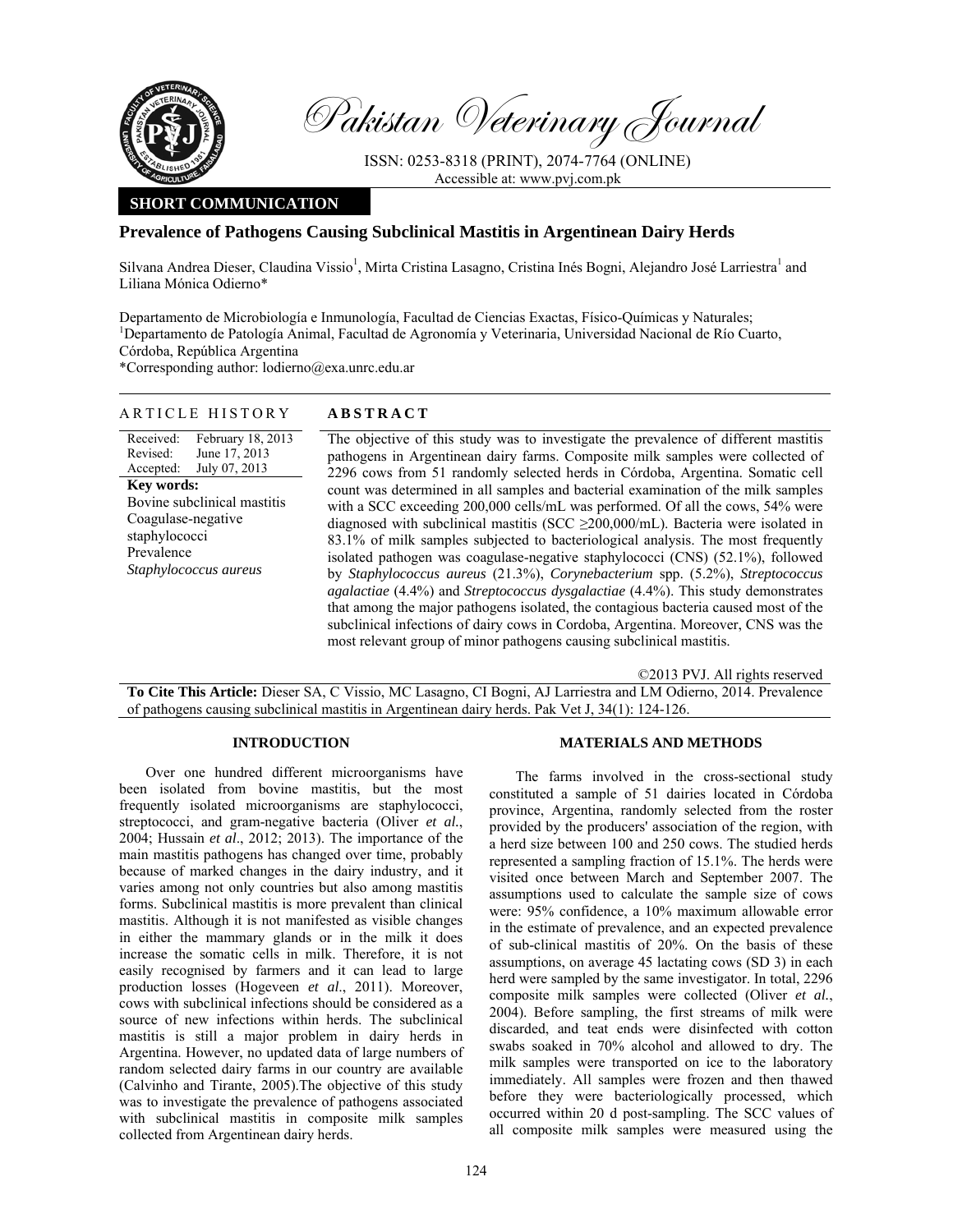

Pakistan Veterinary Journal

ISSN: 0253-8318 (PRINT), 2074-7764 (ONLINE) Accessible at: www.pvj.com.pk

# **SHORT COMMUNICATION**

## **Prevalence of Pathogens Causing Subclinical Mastitis in Argentinean Dairy Herds**

Silvana Andrea Dieser, Claudina Vissio<sup>1</sup>, Mirta Cristina Lasagno, Cristina Inés Bogni, Alejandro José Larriestra<sup>1</sup> and Liliana Mónica Odierno\*

Departamento de Microbiología e Inmunología, Facultad de Ciencias Exactas, Físico-Químicas y Naturales; <sup>1</sup>Departamento de Patología Animal, Facultad de Agronomía y Veterinaria, Universidad Nacional de Río Cuarto, Córdoba, República Argentina

\*Corresponding author: lodierno@exa.unrc.edu.ar

| <b>ARTICLE HISTORY</b>                                                                                                                                                                                               | <b>ABSTRACT</b>                                                                                                                                                                                                                                                                                                                                                                                                                                                                                                                                                                                                                                                                                                                                                                                                                                                                                                                                                                                                                                                                                                                         |
|----------------------------------------------------------------------------------------------------------------------------------------------------------------------------------------------------------------------|-----------------------------------------------------------------------------------------------------------------------------------------------------------------------------------------------------------------------------------------------------------------------------------------------------------------------------------------------------------------------------------------------------------------------------------------------------------------------------------------------------------------------------------------------------------------------------------------------------------------------------------------------------------------------------------------------------------------------------------------------------------------------------------------------------------------------------------------------------------------------------------------------------------------------------------------------------------------------------------------------------------------------------------------------------------------------------------------------------------------------------------------|
| Received:<br>February 18, 2013<br>Revised:<br>June 17, 2013<br>July 07, 2013<br>Accepted:<br>Key words:<br>Bovine subclinical mastitis<br>Coagulase-negative<br>staphylococci<br>Prevalence<br>Staphylococcus aureus | The objective of this study was to investigate the prevalence of different mastitis<br>pathogens in Argentinean dairy farms. Composite milk samples were collected of<br>2296 cows from 51 randomly selected herds in Córdoba, Argentina. Somatic cell<br>count was determined in all samples and bacterial examination of the milk samples<br>with a SCC exceeding 200,000 cells/mL was performed. Of all the cows, 54% were<br>diagnosed with subclinical mastitis (SCC $\geq$ 200,000/mL). Bacteria were isolated in<br>83.1% of milk samples subjected to bacteriological analysis. The most frequently<br>isolated pathogen was coagulase-negative staphylococci (CNS) (52.1%), followed<br>by Staphylococcus aureus (21.3%), Corynebacterium spp. $(5.2\%)$ , Streptococcus<br><i>agalactiae</i> (4.4%) and <i>Streptococcus dysgalactiae</i> (4.4%). This study demonstrates<br>that among the major pathogens isolated, the contagious bacteria caused most of the<br>subclinical infections of dairy cows in Cordoba, Argentina. Moreover, CNS was the<br>most relevant group of minor pathogens causing subclinical mastitis. |
|                                                                                                                                                                                                                      | $@0012 \cdot \text{NUT} \cdot \text{A11} \dots \text{L1} \dots \dots \text{L1}$                                                                                                                                                                                                                                                                                                                                                                                                                                                                                                                                                                                                                                                                                                                                                                                                                                                                                                                                                                                                                                                         |

©2013 PVJ. All rights reserved **To Cite This Article:** Dieser SA, C Vissio, MC Lasagno, CI Bogni, AJ Larriestra and LM Odierno, 2014. Prevalence of pathogens causing subclinical mastitis in Argentinean dairy herds. Pak Vet J, 34(1): 124-126.

### **INTRODUCTION**

Over one hundred different microorganisms have been isolated from bovine mastitis, but the most frequently isolated microorganisms are staphylococci, streptococci, and gram-negative bacteria (Oliver *et al.*, 2004; Hussain *et al*., 2012; 2013). The importance of the main mastitis pathogens has changed over time, probably because of marked changes in the dairy industry, and it varies among not only countries but also among mastitis forms. Subclinical mastitis is more prevalent than clinical mastitis. Although it is not manifested as visible changes in either the mammary glands or in the milk it does increase the somatic cells in milk. Therefore, it is not easily recognised by farmers and it can lead to large production losses (Hogeveen *et al*., 2011). Moreover, cows with subclinical infections should be considered as a source of new infections within herds. The subclinical mastitis is still a major problem in dairy herds in Argentina. However, no updated data of large numbers of random selected dairy farms in our country are available (Calvinho and Tirante, 2005).The objective of this study was to investigate the prevalence of pathogens associated with subclinical mastitis in composite milk samples collected from Argentinean dairy herds.

## **MATERIALS AND METHODS**

The farms involved in the cross-sectional study constituted a sample of 51 dairies located in Córdoba province, Argentina, randomly selected from the roster provided by the producers' association of the region, with a herd size between 100 and 250 cows. The studied herds represented a sampling fraction of 15.1%. The herds were visited once between March and September 2007. The assumptions used to calculate the sample size of cows were: 95% confidence, a 10% maximum allowable error in the estimate of prevalence, and an expected prevalence of sub-clinical mastitis of 20%. On the basis of these assumptions, on average 45 lactating cows (SD 3) in each herd were sampled by the same investigator. In total, 2296 composite milk samples were collected (Oliver *et al.*, 2004). Before sampling, the first streams of milk were discarded, and teat ends were disinfected with cotton swabs soaked in 70% alcohol and allowed to dry. The milk samples were transported on ice to the laboratory immediately. All samples were frozen and then thawed before they were bacteriologically processed, which occurred within 20 d post-sampling. The SCC values of all composite milk samples were measured using the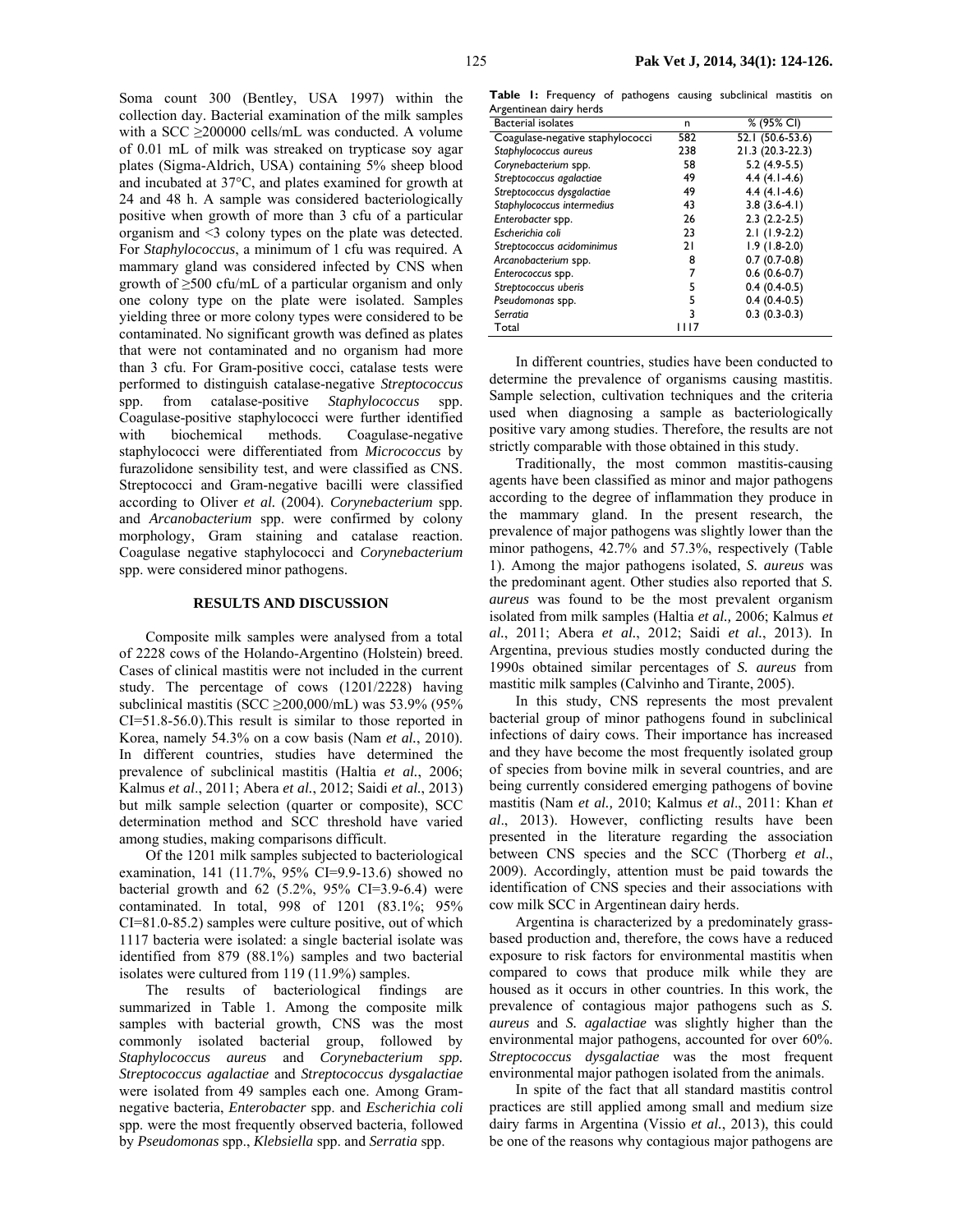Soma count 300 (Bentley, USA 1997) within the collection day. Bacterial examination of the milk samples with a SCC ≥200000 cells/mL was conducted. A volume of 0.01 mL of milk was streaked on trypticase soy agar plates (Sigma-Aldrich, USA) containing 5% sheep blood and incubated at 37°C, and plates examined for growth at 24 and 48 h. A sample was considered bacteriologically positive when growth of more than 3 cfu of a particular organism and <3 colony types on the plate was detected. For *Staphylococcus*, a minimum of 1 cfu was required. A mammary gland was considered infected by CNS when growth of ≥500 cfu/mL of a particular organism and only one colony type on the plate were isolated. Samples yielding three or more colony types were considered to be contaminated. No significant growth was defined as plates that were not contaminated and no organism had more than 3 cfu. For Gram-positive cocci, catalase tests were performed to distinguish catalase-negative *Streptococcus* spp. from catalase-positive *Staphylococcus* spp. Coagulase-positive staphylococci were further identified with biochemical methods. Coagulase-negative staphylococci were differentiated from *Micrococcus* by furazolidone sensibility test, and were classified as CNS. Streptococci and Gram-negative bacilli were classified according to Oliver *et al.* (2004). *Corynebacterium* spp. and *Arcanobacterium* spp. were confirmed by colony morphology, Gram staining and catalase reaction. Coagulase negative staphylococci and *Corynebacterium* spp. were considered minor pathogens.

#### **RESULTS AND DISCUSSION**

Composite milk samples were analysed from a total of 2228 cows of the Holando-Argentino (Holstein) breed. Cases of clinical mastitis were not included in the current study. The percentage of cows (1201/2228) having subclinical mastitis (SCC  $\geq$ 200,000/mL) was 53.9% (95% CI=51.8-56.0).This result is similar to those reported in Korea, namely 54.3% on a cow basis (Nam *et al.*, 2010). In different countries, studies have determined the prevalence of subclinical mastitis (Haltia *et al.*, 2006; Kalmus *et al*., 2011; Abera *et al.*, 2012; Saidi *et al.*, 2013) but milk sample selection (quarter or composite), SCC determination method and SCC threshold have varied among studies, making comparisons difficult.

Of the 1201 milk samples subjected to bacteriological examination, 141 (11.7%, 95% CI=9.9-13.6) showed no bacterial growth and 62 (5.2%, 95% CI=3.9-6.4) were contaminated. In total, 998 of 1201 (83.1%; 95% CI=81.0-85.2) samples were culture positive, out of which 1117 bacteria were isolated: a single bacterial isolate was identified from 879 (88.1%) samples and two bacterial isolates were cultured from 119 (11.9%) samples.

The results of bacteriological findings are summarized in Table 1. Among the composite milk samples with bacterial growth, CNS was the most commonly isolated bacterial group, followed by *Staphylococcus aureus* and *Corynebacterium spp. Streptococcus agalactiae* and *Streptococcus dysgalactiae*  were isolated from 49 samples each one. Among Gramnegative bacteria, *Enterobacter* spp. and *Escherichia coli*  spp. were the most frequently observed bacteria, followed by *Pseudomonas* spp., *Klebsiella* spp. and *Serratia* spp.

|  | Table I: Frequency of pathogens causing subclinical mastitis on |  |  |  |
|--|-----------------------------------------------------------------|--|--|--|
|  | Argentinean dairy herds                                         |  |  |  |

| <b>Bacterial isolates</b>        | n      | % (95% CI)       |
|----------------------------------|--------|------------------|
| Coagulase-negative staphylococci | 582    | 52.1 (50.6-53.6) |
| Staphylococcus aureus            | 238    | 21.3 (20.3-22.3) |
| Corynebacterium spp.             | 58     | $5.2(4.9-5.5)$   |
| Streptococcus agalactiae         | 49     | $4.4(4.1-4.6)$   |
| Streptococcus dysgalactiae       | 49     | $4.4(4.1-4.6)$   |
| Staphylococcus intermedius       | 43     | $3.8(3.6-4.1)$   |
| Enterobacter spp.                | 26     | $2.3(2.2-2.5)$   |
| Escherichia coli                 | 23     | $2.1(1.9-2.2)$   |
| Streptococcus acidominimus       | 21     | $1.9(1.8-2.0)$   |
| Arcanobacterium spp.             | 8      | $0.7(0.7-0.8)$   |
| Enterococcus spp.                |        | $0.6(0.6-0.7)$   |
| Streptococcus uberis             | 5      | $0.4(0.4-0.5)$   |
| Pseudomonas spp.                 | 5      | $0.4(0.4-0.5)$   |
| Serratia                         | 3      | $0.3(0.3-0.3)$   |
| Total                            | I I 17 |                  |
|                                  |        |                  |

In different countries, studies have been conducted to determine the prevalence of organisms causing mastitis. Sample selection, cultivation techniques and the criteria used when diagnosing a sample as bacteriologically positive vary among studies. Therefore, the results are not strictly comparable with those obtained in this study.

Traditionally, the most common mastitis-causing agents have been classified as minor and major pathogens according to the degree of inflammation they produce in the mammary gland. In the present research, the prevalence of major pathogens was slightly lower than the minor pathogens, 42.7% and 57.3%, respectively (Table 1). Among the major pathogens isolated, *S. aureus* was the predominant agent. Other studies also reported that *S. aureus* was found to be the most prevalent organism isolated from milk samples (Haltia *et al.,* 2006; Kalmus *et al.*, 2011; Abera *et al.*, 2012; Saidi *et al.*, 2013). In Argentina, previous studies mostly conducted during the 1990s obtained similar percentages of *S. aureus* from mastitic milk samples (Calvinho and Tirante, 2005).

In this study, CNS represents the most prevalent bacterial group of minor pathogens found in subclinical infections of dairy cows. Their importance has increased and they have become the most frequently isolated group of species from bovine milk in several countries, and are being currently considered emerging pathogens of bovine mastitis (Nam *et al.,* 2010; Kalmus *et al*., 2011: Khan *et al*., 2013). However, conflicting results have been presented in the literature regarding the association between CNS species and the SCC (Thorberg *et al*., 2009). Accordingly, attention must be paid towards the identification of CNS species and their associations with cow milk SCC in Argentinean dairy herds.

Argentina is characterized by a predominately grassbased production and, therefore, the cows have a reduced exposure to risk factors for environmental mastitis when compared to cows that produce milk while they are housed as it occurs in other countries. In this work, the prevalence of contagious major pathogens such as *S. aureus* and *S. agalactiae* was slightly higher than the environmental major pathogens, accounted for over 60%. *Streptococcus dysgalactiae* was the most frequent environmental major pathogen isolated from the animals.

In spite of the fact that all standard mastitis control practices are still applied among small and medium size dairy farms in Argentina (Vissio *et al.*, 2013), this could be one of the reasons why contagious major pathogens are